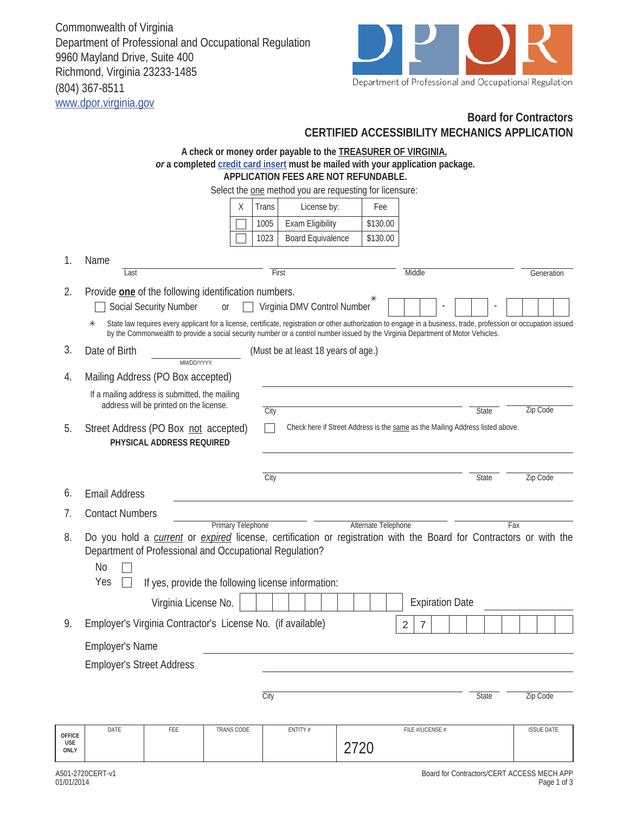Commonwealth of Virginia Department of Professional and Occupational Regulation 9960 Mayland Drive, Suite 400 Richmond, Virginia 23233-1485 (804) 367-8511 www.dpor.virginia.gov



## **Board for Contractors CERTIFIED ACCESSIBILITY MECHANICS APPLICATION**

|                                     | A check or money order payable to the <b>TREASURER OF VIRGINIA</b> ,<br>or a completed credit card insert must be mailed with your application package.                                                                                                                                                     |  |  |  |  |  |  |  |  |  |  |  |
|-------------------------------------|-------------------------------------------------------------------------------------------------------------------------------------------------------------------------------------------------------------------------------------------------------------------------------------------------------------|--|--|--|--|--|--|--|--|--|--|--|
|                                     | APPLICATION FEES ARE NOT REFUNDABLE.                                                                                                                                                                                                                                                                        |  |  |  |  |  |  |  |  |  |  |  |
|                                     | Select the one method you are requesting for licensure:                                                                                                                                                                                                                                                     |  |  |  |  |  |  |  |  |  |  |  |
|                                     | Χ<br>Trans<br>License by:<br>Fee                                                                                                                                                                                                                                                                            |  |  |  |  |  |  |  |  |  |  |  |
|                                     | Exam Eligibility<br>\$130.00<br>1005                                                                                                                                                                                                                                                                        |  |  |  |  |  |  |  |  |  |  |  |
|                                     | 1023<br>Board Equivalence<br>\$130.00                                                                                                                                                                                                                                                                       |  |  |  |  |  |  |  |  |  |  |  |
| 1.                                  | Name                                                                                                                                                                                                                                                                                                        |  |  |  |  |  |  |  |  |  |  |  |
|                                     | First<br>Middle<br>Last<br>Generation                                                                                                                                                                                                                                                                       |  |  |  |  |  |  |  |  |  |  |  |
| 2.                                  | Provide <b>one</b> of the following identification numbers.<br>⋇                                                                                                                                                                                                                                            |  |  |  |  |  |  |  |  |  |  |  |
|                                     | Social Security Number<br>Virginia DMV Control Number<br><b>or</b>                                                                                                                                                                                                                                          |  |  |  |  |  |  |  |  |  |  |  |
|                                     | State law requires every applicant for a license, certificate, registration or other authorization to engage in a business, trade, profession or occupation issued<br>⋇<br>by the Commonwealth to provide a social security number or a control number issued by the Virginia Department of Motor Vehicles. |  |  |  |  |  |  |  |  |  |  |  |
| 3.                                  | Date of Birth<br>(Must be at least 18 years of age.)<br>MM/DD/YYYY                                                                                                                                                                                                                                          |  |  |  |  |  |  |  |  |  |  |  |
| 4.                                  | Mailing Address (PO Box accepted)                                                                                                                                                                                                                                                                           |  |  |  |  |  |  |  |  |  |  |  |
|                                     | If a mailing address is submitted, the mailing                                                                                                                                                                                                                                                              |  |  |  |  |  |  |  |  |  |  |  |
|                                     | address will be printed on the license.<br>Zip Code<br>City<br>State                                                                                                                                                                                                                                        |  |  |  |  |  |  |  |  |  |  |  |
| 5.                                  | Check here if Street Address is the same as the Mailing Address listed above.<br>Street Address (PO Box not accepted)<br>PHYSICAL ADDRESS REQUIRED                                                                                                                                                          |  |  |  |  |  |  |  |  |  |  |  |
|                                     |                                                                                                                                                                                                                                                                                                             |  |  |  |  |  |  |  |  |  |  |  |
|                                     | City<br>Zip Code<br><b>State</b>                                                                                                                                                                                                                                                                            |  |  |  |  |  |  |  |  |  |  |  |
| 6.                                  | <b>Email Address</b>                                                                                                                                                                                                                                                                                        |  |  |  |  |  |  |  |  |  |  |  |
| 7.                                  | <b>Contact Numbers</b>                                                                                                                                                                                                                                                                                      |  |  |  |  |  |  |  |  |  |  |  |
|                                     | <b>Primary Telephone</b><br>Alternate Telephone<br>Fax                                                                                                                                                                                                                                                      |  |  |  |  |  |  |  |  |  |  |  |
| 8.                                  | Do you hold a <i>current</i> or <i>expired</i> license, certification or registration with the Board for Contractors or with the<br>Department of Professional and Occupational Regulation?<br><b>No</b><br>Yes                                                                                             |  |  |  |  |  |  |  |  |  |  |  |
|                                     | If yes, provide the following license information:                                                                                                                                                                                                                                                          |  |  |  |  |  |  |  |  |  |  |  |
|                                     | Virginia License No.<br><b>Expiration Date</b>                                                                                                                                                                                                                                                              |  |  |  |  |  |  |  |  |  |  |  |
| 9.                                  | Employer's Virginia Contractor's License No. (if available)<br>$\overline{2}$<br>$\overline{7}$                                                                                                                                                                                                             |  |  |  |  |  |  |  |  |  |  |  |
|                                     | <b>Employer's Name</b>                                                                                                                                                                                                                                                                                      |  |  |  |  |  |  |  |  |  |  |  |
|                                     | <b>Employer's Street Address</b>                                                                                                                                                                                                                                                                            |  |  |  |  |  |  |  |  |  |  |  |
|                                     | City<br>Zip Code<br><b>State</b>                                                                                                                                                                                                                                                                            |  |  |  |  |  |  |  |  |  |  |  |
|                                     |                                                                                                                                                                                                                                                                                                             |  |  |  |  |  |  |  |  |  |  |  |
| <b>OFFICE</b><br><b>USE</b><br>ONLY | DATE<br>FEE<br>TRANS CODE<br>ENTITY #<br>FILE #/LICENSE #<br><b>ISSUE DATE</b><br>2720                                                                                                                                                                                                                      |  |  |  |  |  |  |  |  |  |  |  |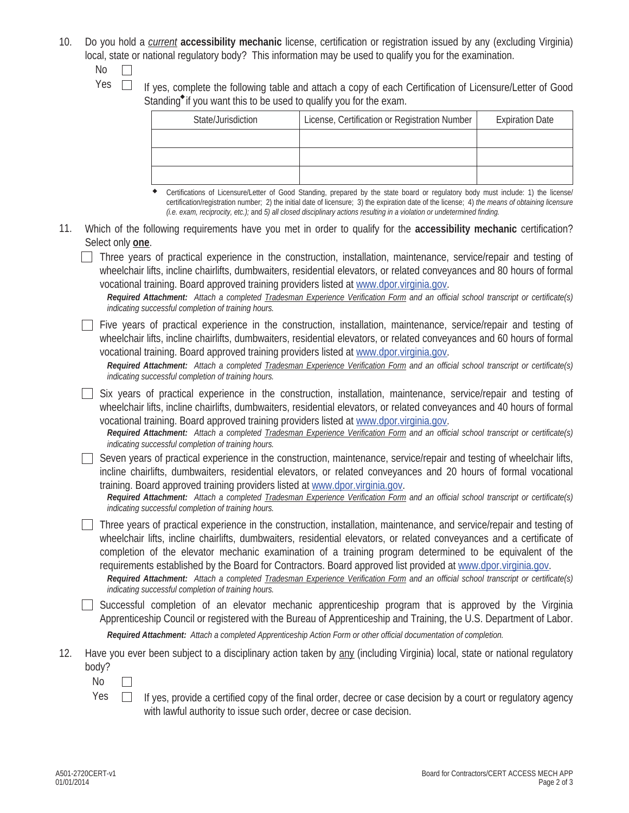- 10. Do you hold a *current* **accessibility mechanic** license, certification or registration issued by any (excluding Virginia) local, state or national regulatory body? This information may be used to qualify you for the examination.
	- No  $\Box$
	- Yes  $\Box$  If yes, complete the following table and attach a copy of each Certification of Licensure/Letter of Good Standing<sup> $\bullet$ </sup> if you want this to be used to qualify you for the exam.

| State/Jurisdiction |                                                                                                                                     |  | License, Certification or Registration Number |  |  |  |  |  |  | <b>Expiration Date</b> |  |  |  |
|--------------------|-------------------------------------------------------------------------------------------------------------------------------------|--|-----------------------------------------------|--|--|--|--|--|--|------------------------|--|--|--|
|                    |                                                                                                                                     |  |                                               |  |  |  |  |  |  |                        |  |  |  |
|                    |                                                                                                                                     |  |                                               |  |  |  |  |  |  |                        |  |  |  |
|                    |                                                                                                                                     |  |                                               |  |  |  |  |  |  |                        |  |  |  |
|                    | ◆ Certifications of Licensure/Letter of Good Standing, prepared by the state board or regulatory body must include: 1) the license/ |  |                                               |  |  |  |  |  |  |                        |  |  |  |

Certifications of Licensure/Letter of Good Standing, prepared by the state board or regulatory body must include: 1) the license/ certification/registration number; 2) the initial date of licensure; 3) the expiration date of the license; 4) *the means of obtaining licensure (i.e. exam, reciprocity, etc.);* and *5) all closed disciplinary actions resulting in a violation or undetermined finding.*

11. Which of the following requirements have you met in order to qualify for the **accessibility mechanic** certification? Select only **one**.

Three years of practical experience in the construction, installation, maintenance, service/repair and testing of wheelchair lifts, incline chairlifts, dumbwaiters, residential elevators, or related conveyances and 80 hours of formal vocational training. Board approved training providers listed at www.dpor.virginia.gov.

*Required Attachment: Attach a completed Tradesman Experience Verification Form and an official school transcript or certificate(s) indicating successful completion of training hours.*

 $\Box$  Five years of practical experience in the construction, installation, maintenance, service/repair and testing of wheelchair lifts, incline chairlifts, dumbwaiters, residential elevators, or related conveyances and 60 hours of formal vocational training. Board approved training providers listed at www.dpor.virginia.gov.

*Required Attachment: Attach a completed Tradesman Experience Verification Form and an official school transcript or certificate(s) indicating successful completion of training hours.*

Six years of practical experience in the construction, installation, maintenance, service/repair and testing of wheelchair lifts, incline chairlifts, dumbwaiters, residential elevators, or related conveyances and 40 hours of formal vocational training. Board approved training providers listed at www.dpor.virginia.gov.

*Required Attachment: Attach a completed Tradesman Experience Verification Form and an official school transcript or certificate(s) indicating successful completion of training hours.*

 $\Box$  Seven years of practical experience in the construction, maintenance, service/repair and testing of wheelchair lifts, incline chairlifts, dumbwaiters, residential elevators, or related conveyances and 20 hours of formal vocational training. Board approved training providers listed at www.dpor.virginia.gov.

*Required Attachment: Attach a completed Tradesman Experience Verification Form and an official school transcript or certificate(s) indicating successful completion of training hours.*

 $\Box$  Three years of practical experience in the construction, installation, maintenance, and service/repair and testing of wheelchair lifts, incline chairlifts, dumbwaiters, residential elevators, or related conveyances and a certificate of completion of the elevator mechanic examination of a training program determined to be equivalent of the requirements established by the Board for Contractors. Board approved list provided at www.dpor.virginia.gov.

*Required Attachment: Attach a completed Tradesman Experience Verification Form and an official school transcript or certificate(s) indicating successful completion of training hours.*

 $\Box$  Successful completion of an elevator mechanic apprenticeship program that is approved by the Virginia Apprenticeship Council or registered with the Bureau of Apprenticeship and Training, the U.S. Department of Labor.

*Required Attachment: Attach a completed Apprenticeship Action Form or other official documentation of completion.*

- 12. Have you ever been subject to a disciplinary action taken by any (including Virginia) local, state or national regulatory body?
	- No  $\perp$
	- $Yes \Box$  If yes, provide a certified copy of the final order, decree or case decision by a court or regulatory agency with lawful authority to issue such order, decree or case decision.